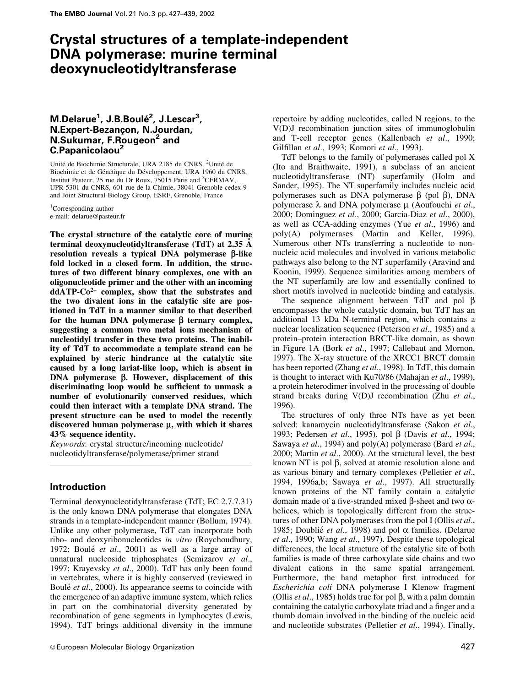# Crystal structures of a template-independent DNA polymerase: murine terminal deoxynucleotidyltransferase

# M.Delarue<sup>1</sup>, J.B.Boulé<sup>2</sup>, J.Lescar<sup>3</sup>, N.Expert-BezancËon, N.Jourdan, N.Sukumar, F.Rougeon<sup>2</sup> and C.Papanicolaou2

Unité de Biochimie Structurale, URA 2185 du CNRS, <sup>2</sup>Unité de Biochimie et de Génétique du Développement, URA 1960 du CNRS, Institut Pasteur, 25 rue du Dr Roux, 75015 Paris and <sup>3</sup>CERMAV, UPR 5301 du CNRS, 601 rue de la Chimie, 38041 Grenoble cedex 9 and Joint Structural Biology Group, ESRF, Grenoble, France

<sup>1</sup>Corresponding author e-mail: delarue@pasteur.fr

The crystal structure of the catalytic core of murine terminal deoxynucleotidyltransferase (TdT) at 2.35  $\AA$ resolution reveals a typical DNA polymerase  $\beta$ -like fold locked in a closed form. In addition, the structures of two different binary complexes, one with an oligonucleotide primer and the other with an incoming ddATP-Co2+ complex, show that the substrates and the two divalent ions in the catalytic site are positioned in TdT in a manner similar to that described for the human DNA polymerase  $\beta$  ternary complex, suggesting a common two metal ions mechanism of nucleotidyl transfer in these two proteins. The inability of TdT to accommodate a template strand can be explained by steric hindrance at the catalytic site caused by a long lariat-like loop, which is absent in DNA polymerase  $\beta$ . However, displacement of this discriminating loop would be sufficient to unmask a number of evolutionarily conserved residues, which could then interact with a template DNA strand. The present structure can be used to model the recently discovered human polymerase  $\mu$ , with which it shares 43% sequence identity.

Keywords: crystal structure/incoming nucleotide/ nucleotidyltransferase/polymerase/primer strand

# Introduction

Terminal deoxynucleotidyltransferase (TdT; EC 2.7.7.31) is the only known DNA polymerase that elongates DNA strands in a template-independent manner (Bollum, 1974). Unlike any other polymerase, TdT can incorporate both ribo- and deoxyribonucleotides in vitro (Roychoudhury, 1972; Boulé et al., 2001) as well as a large array of unnatural nucleoside triphosphates (Semizarov et al., 1997; Krayevsky et al., 2000). TdT has only been found in vertebrates, where it is highly conserved (reviewed in Boulé et al., 2000). Its appearance seems to coincide with the emergence of an adaptive immune system, which relies in part on the combinatorial diversity generated by recombination of gene segments in lymphocytes (Lewis, 1994). TdT brings additional diversity in the immune

repertoire by adding nucleotides, called N regions, to the V(D)J recombination junction sites of immunoglobulin and T-cell receptor genes (Kallenbach et al., 1990; Gilfillan et al., 1993; Komori et al., 1993).

TdT belongs to the family of polymerases called pol X (Ito and Braithwaite, 1991), a subclass of an ancient nucleotidyltransferase (NT) superfamily (Holm and Sander, 1995). The NT superfamily includes nucleic acid polymerases such as DNA polymerase  $\beta$  (pol  $\beta$ ), DNA polymerase  $\lambda$  and DNA polymerase  $\mu$  (Aoufouchi et al., 2000; Dominguez et al., 2000; Garcia-Diaz et al., 2000), as well as CCA-adding enzymes (Yue et al., 1996) and poly(A) polymerases (Martin and Keller, 1996). Numerous other NTs transferring a nucleotide to nonnucleic acid molecules and involved in various metabolic pathways also belong to the NT superfamily (Aravind and Koonin, 1999). Sequence similarities among members of the NT superfamily are low and essentially confined to short motifs involved in nucleotide binding and catalysis.

The sequence alignment between TdT and pol  $\beta$ encompasses the whole catalytic domain, but TdT has an additional 13 kDa N-terminal region, which contains a nuclear localization sequence (Peterson et al., 1985) and a protein-protein interaction BRCT-like domain, as shown in Figure 1A (Bork et al., 1997; Callebaut and Mornon, 1997). The X-ray structure of the XRCC1 BRCT domain has been reported (Zhang et al., 1998). In TdT, this domain is thought to interact with Ku70/86 (Mahajan et al., 1999), a protein heterodimer involved in the processing of double strand breaks during V(D)J recombination (Zhu et al., 1996).

The structures of only three NTs have as yet been solved: kanamycin nucleotidyltransferase (Sakon et al., 1993; Pedersen et al., 1995), pol  $\beta$  (Davis et al., 1994; Sawaya et al., 1994) and poly(A) polymerase (Bard et al., 2000; Martin et al., 2000). At the structural level, the best known NT is pol  $\beta$ , solved at atomic resolution alone and as various binary and ternary complexes (Pelletier et al., 1994, 1996a,b; Sawaya et al., 1997). All structurally known proteins of the NT family contain a catalytic domain made of a five-stranded mixed  $\beta$ -sheet and two  $\alpha$ helices, which is topologically different from the structures of other DNA polymerases from the pol I (Ollis et al., 1985; Doublié et al., 1998) and pol  $\alpha$  families. (Delarue et al., 1990; Wang et al., 1997). Despite these topological differences, the local structure of the catalytic site of both families is made of three carboxylate side chains and two divalent cations in the same spatial arrangement. Furthermore, the hand metaphor first introduced for Escherichia coli DNA polymerase I Klenow fragment (Ollis *et al.*, 1985) holds true for pol  $\beta$ , with a palm domain containing the catalytic carboxylate triad and a finger and a thumb domain involved in the binding of the nucleic acid and nucleotide substrates (Pelletier et al., 1994). Finally,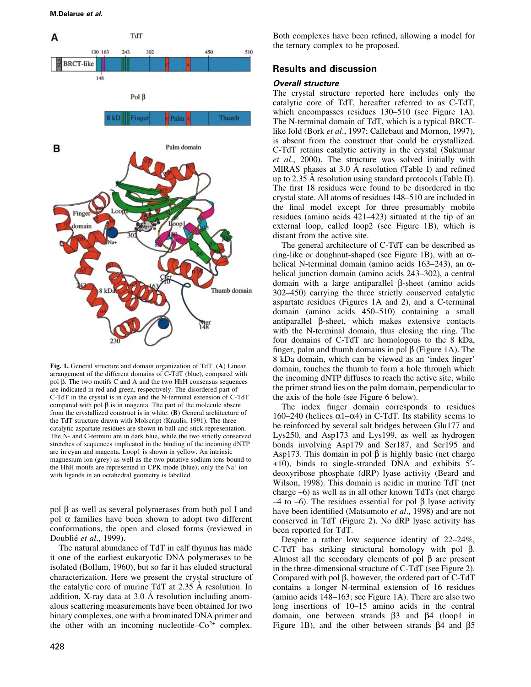

Fig. 1. General structure and domain organization of TdT. (A) Linear arrangement of the different domains of C-TdT (blue), compared with pol  $\beta$ . The two motifs C and A and the two HhH consensus sequences are indicated in red and green, respectively. The disordered part of C-TdT in the crystal is in cyan and the N-terminal extension of C-TdT compared with pol  $\beta$  is in magenta. The part of the molecule absent from the crystallized construct is in white. (B) General architecture of the TdT structure drawn with Molscript (Kraulis, 1991). The three catalytic aspartate residues are shown in ball-and-stick representation. The N- and C-termini are in dark blue, while the two strictly conserved stretches of sequences implicated in the binding of the incoming dNTP are in cyan and magenta. Loop1 is shown in yellow. An intrinsic magnesium ion (grey) as well as the two putative sodium ions bound to the HhH motifs are represented in CPK mode (blue); only the Na+ ion with ligands in an octahedral geometry is labelled.

pol  $\beta$  as well as several polymerases from both pol I and pol  $\alpha$  families have been shown to adopt two different conformations, the open and closed forms (reviewed in Doublié et al., 1999).

The natural abundance of TdT in calf thymus has made it one of the earliest eukaryotic DNA polymerases to be isolated (Bollum, 1960), but so far it has eluded structural characterization. Here we present the crystal structure of the catalytic core of murine  $TdT$  at 2.35 Å resolution. In addition, X-ray data at  $3.0 \text{ Å}$  resolution including anomalous scattering measurements have been obtained for two binary complexes, one with a brominated DNA primer and the other with an incoming nucleotide $-Co^{2+}$  complex.

Both complexes have been refined, allowing a model for the ternary complex to be proposed.

# Results and discussion

#### Overall structure

The crystal structure reported here includes only the catalytic core of TdT, hereafter referred to as C-TdT, which encompasses residues  $130-510$  (see Figure 1A). The N-terminal domain of TdT, which is a typical BRCTlike fold (Bork et al., 1997; Callebaut and Mornon, 1997), is absent from the construct that could be crystallized. C-TdT retains catalytic activity in the crystal (Sukumar et al., 2000). The structure was solved initially with MIRAS phases at  $3.0 \text{ Å}$  resolution (Table I) and refined up to 2.35  $\AA$  resolution using standard protocols (Table II). The first 18 residues were found to be disordered in the crystal state. All atoms of residues 148-510 are included in the final model except for three presumably mobile residues (amino acids  $421-423$ ) situated at the tip of an external loop, called loop2 (see Figure 1B), which is distant from the active site.

The general architecture of C-TdT can be described as ring-like or doughnut-shaped (see Figure 1B), with an  $\alpha$ helical N-terminal domain (amino acids 163–243), an  $\alpha$ helical junction domain (amino acids 243–302), a central domain with a large antiparallel  $\beta$ -sheet (amino acids 302–450) carrying the three strictly conserved catalytic aspartate residues (Figures 1A and 2), and a C-terminal domain (amino acids 450-510) containing a small antiparallel  $\beta$ -sheet, which makes extensive contacts with the N-terminal domain, thus closing the ring. The four domains of C-TdT are homologous to the 8 kDa, finger, palm and thumb domains in pol  $\beta$  (Figure 1A). The 8 kDa domain, which can be viewed as an 'index finger' domain, touches the thumb to form a hole through which the incoming dNTP diffuses to reach the active site, while the primer strand lies on the palm domain, perpendicular to the axis of the hole (see Figure 6 below).

The index finger domain corresponds to residues 160–240 (helices  $\alpha$ 1– $\alpha$ 4) in C-TdT. Its stability seems to be reinforced by several salt bridges between Glu177 and Lys250, and Asp173 and Lys199, as well as hydrogen bonds involving Asp179 and Ser187, and Ser195 and Asp173. This domain in pol  $\beta$  is highly basic (net charge  $+10$ ), binds to single-stranded DNA and exhibits  $5'$ deoxyribose phosphate (dRP) lyase activity (Beard and Wilson, 1998). This domain is acidic in murine TdT (net charge  $-6$ ) as well as in all other known TdTs (net charge  $-4$  to  $-6$ ). The residues essential for pol  $\beta$  lyase activity have been identified (Matsumoto et al., 1998) and are not conserved in TdT (Figure 2). No dRP lyase activity has been reported for TdT.

Despite a rather low sequence identity of  $22-24\%$ , C-TdT has striking structural homology with pol  $\beta$ . Almost all the secondary elements of pol  $\beta$  are present in the three-dimensional structure of C-TdT (see Figure 2). Compared with pol  $\beta$ , however, the ordered part of C-TdT contains a longer N-terminal extension of 16 residues (amino acids  $148-163$ ; see Figure 1A). There are also two long insertions of  $10-15$  amino acids in the central domain, one between strands  $\beta$ 3 and  $\beta$ 4 (loop1 in Figure 1B), and the other between strands  $\beta$ 4 and  $\beta$ 5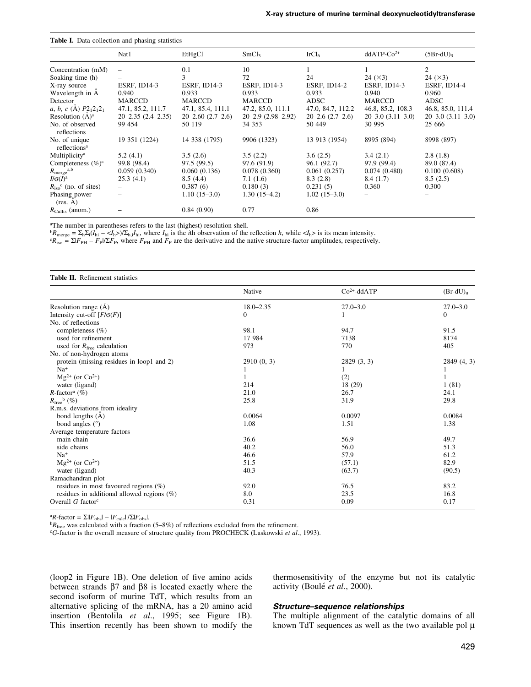| Table I. Data collection and phasing statistics |                            |                           |                            |                          |                           |                           |  |  |
|-------------------------------------------------|----------------------------|---------------------------|----------------------------|--------------------------|---------------------------|---------------------------|--|--|
|                                                 | Nat1                       | EtHgCl                    | SmCl <sub>3</sub>          | IrCl <sub>6</sub>        | $ddATP-Co2+$              | $(5Br-dU)_{9}$            |  |  |
| Concentration (mM)                              | $\overline{\phantom{0}}$   | 0.1                       | 10                         |                          |                           | 2                         |  |  |
| Soaking time (h)                                |                            | 3                         | 72                         | 24                       | 24 (×3)                   | 24 (×3)                   |  |  |
| X-ray source                                    | <b>ESRF, ID14-3</b>        | <b>ESRF, ID14-3</b>       | <b>ESRF, ID14-3</b>        | ESRF, ID14-2             | <b>ESRF, ID14-3</b>       | ESRF, ID14-4              |  |  |
| Wavelength in A                                 | 0.940                      | 0.933                     | 0.933                      | 0.933                    | 0.940                     | 0.960                     |  |  |
| Detector                                        | MARCCD                     | MARCCD                    | MARCCD                     | ADSC                     | MARCCD                    | ADSC                      |  |  |
| a, b, c (A) $P2_12_12_1$                        | 47.1, 85.2, 111.7          | 47.1, 85.4, 111.1         | 47.2, 85.0, 111.1          | 47.0, 84.7, 112.2        | 46.8, 85.2, 108.3         | 46.8, 85.0, 111.4         |  |  |
| Resolution $(A)^a$                              | $20 - 2.35$ $(2.4 - 2.35)$ | $20 - 2.60$ $(2.7 - 2.6)$ | $20 - 2.9$ $(2.98 - 2.92)$ | $20 - 2.6$ $(2.7 - 2.6)$ | $20 - 3.0$ $(3.11 - 3.0)$ | $20 - 3.0$ $(3.11 - 3.0)$ |  |  |
| No. of observed<br>reflections                  | 99 454                     | 50 119                    | 34 353                     | 50 449                   | 30 995                    | 25 666                    |  |  |
| No. of unique<br>reflections <sup>a</sup>       | 19 351 (1224)              | 14 338 (1795)             | 9906 (1323)                | 13 913 (1954)            | 8995 (894)                | 8998 (897)                |  |  |
| Multiplicity <sup>a</sup>                       | 5.2(4.1)                   | 3.5(2.6)                  | 3.5(2.2)                   | 3.6(2.5)                 | 3.4(2.1)                  | 2.8(1.8)                  |  |  |
| Completeness $(\%)^a$                           | 99.8 (98.4)                | 97.5(99.5)                | 97.6 (91.9)                | 96.1 (92.7)              | 97.9 (99.4)               | 89.0 (87.4)               |  |  |
| $R_{\text{merge}}^{a,b}$                        | 0.059(0.340)               | 0.060(0.136)              | 0.078(0.360)               | 0.061(0.257)             | 0.074(0.480)              | 0.100(0.608)              |  |  |
| $I/\sigma(I)^a$                                 | 25.3(4.1)                  | 8.5(4.4)                  | 7.1(1.6)                   | 8.3(2.8)                 | 8.4(1.7)                  | 8.5(2.5)                  |  |  |
| $R_{\rm iso}$ <sup>c</sup> (no. of sites)       | $\overline{\phantom{0}}$   | 0.387(6)                  | 0.180(3)                   | 0.231(5)                 | 0.360                     | 0.300                     |  |  |
| Phasing power<br>(res. A)                       | -                          | $1.10(15-3.0)$            | $1.30(15-4.2)$             | $1.02(15-3.0)$           |                           |                           |  |  |
| $R_{\text{Cullis}}$ (anom.)                     |                            | 0.84(0.90)                | 0.77                       | 0.86                     |                           |                           |  |  |

aThe number in parentheses refers to the last (highest) resolution shell.

 ${}^{b}R_{\text{merge}} = \sum_{h} \sum_{i} (I_{hi} - \langle I_{h} \rangle) / \sum_{h,i} I_{hi}$ , where  $I_{hi}$  is the *i*th observation of the reflection *h*, while  $\langle I_{h} \rangle$  is its mean intensity.<br>  ${}^{c}R_{\text{iso}} = \sum |F_{PH} - F_{P}| / \sum F_{P}$ , where  $F_{PH}$  and  $F_{P}$  are the

| <b>Table II.</b> Refinement statistics        |                  |                 |                        |  |  |  |  |
|-----------------------------------------------|------------------|-----------------|------------------------|--|--|--|--|
|                                               | Native           | $Co2+ - d dATP$ | $(Br-dU)$ <sub>9</sub> |  |  |  |  |
| Resolution range $(\dot{A})$                  | $18.0 - 2.35$    | $27.0 - 3.0$    | $27.0 - 3.0$           |  |  |  |  |
| Intensity cut-off $[F/\sigma(F)]$             | $\boldsymbol{0}$ |                 | $\Omega$               |  |  |  |  |
| No. of reflections                            |                  |                 |                        |  |  |  |  |
| completeness $(\% )$                          | 98.1             | 94.7            | 91.5                   |  |  |  |  |
| used for refinement                           | 17 984           | 7138            | 8174                   |  |  |  |  |
| used for $R_{\text{free}}$ calculation        | 973              | 770             | 405                    |  |  |  |  |
| No. of non-hydrogen atoms                     |                  |                 |                        |  |  |  |  |
| protein (missing residues in loop1 and 2)     | 2910(0, 3)       | 2829(3, 3)      | 2849 (4, 3)            |  |  |  |  |
| $Na+$                                         |                  |                 |                        |  |  |  |  |
| $Mg^{2+}$ (or $Co^{2+}$ )                     |                  | (2)             |                        |  |  |  |  |
| water (ligand)                                | 214              | 18 (29)         | 1(81)                  |  |  |  |  |
| $R$ -factor <sup>a</sup> (%)                  | 21.0             | 26.7            | 24.1                   |  |  |  |  |
| $R_{\text{free}}^{\text{b}}$ (%)              | 25.8             | 31.9            | 29.8                   |  |  |  |  |
| R.m.s. deviations from ideality               |                  |                 |                        |  |  |  |  |
| bond lengths (A)                              | 0.0064           | 0.0097          | 0.0084                 |  |  |  |  |
| bond angles $(°)$                             | 1.08             | 1.51            | 1.38                   |  |  |  |  |
| Average temperature factors                   |                  |                 |                        |  |  |  |  |
| main chain                                    | 36.6             | 56.9            | 49.7                   |  |  |  |  |
| side chains                                   | 40.2             | 56.0            | 51.3                   |  |  |  |  |
| $Na+$                                         | 46.6             | 57.9            | 61.2                   |  |  |  |  |
| $Mg^{2+}$ (or $Co^{2+}$ )                     | 51.5             | (57.1)          | 82.9                   |  |  |  |  |
| water (ligand)                                | 40.3             | (63.7)          | (90.5)                 |  |  |  |  |
| Ramachandran plot                             |                  |                 |                        |  |  |  |  |
| residues in most favoured regions $(\%)$      | 92.0             | 76.5            | 83.2                   |  |  |  |  |
| residues in additional allowed regions $(\%)$ | 8.0              | 23.5            | 16.8                   |  |  |  |  |
| Overall $G$ factor <sup>c</sup>               | 0.31             | 0.09            | 0.17                   |  |  |  |  |

<sup>a</sup>R-factor =  $\Sigma$ ||F<sub>obs</sub>| – |F<sub>calc</sub>||/ $\Sigma$ |F<sub>obs</sub>|.<br><sup>b</sup>R<sub>free</sub> was calculated with a fraction (5–8%) of reflections excluded from the refinement. cG-factor is the overall measure of structure quality from PROCHECK (Las

 $(logo p2$  in Figure 1B). One deletion of five amino acids between strands  $\beta$ 7 and  $\beta$ 8 is located exactly where the second isoform of murine TdT, which results from an alternative splicing of the mRNA, has a 20 amino acid insertion (Bentolila et al., 1995; see Figure 1B). This insertion recently has been shown to modify the thermosensitivity of the enzyme but not its catalytic activity (Boulé et al., 2000).

#### Structure-sequence relationships

The multiple alignment of the catalytic domains of all known TdT sequences as well as the two available pol  $\mu$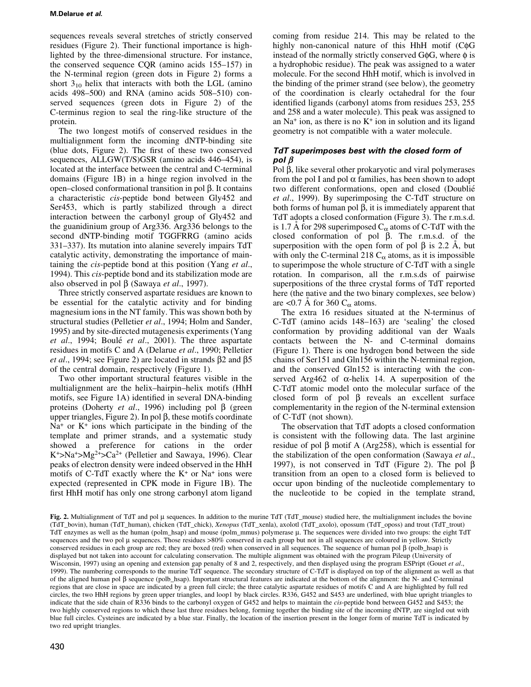sequences reveals several stretches of strictly conserved residues (Figure 2). Their functional importance is highlighted by the three-dimensional structure. For instance, the conserved sequence  $CQR$  (amino acids 155–157) in the N-terminal region (green dots in Figure 2) forms a short  $3_{10}$  helix that interacts with both the LGL (amino acids  $498-500$ ) and RNA (amino acids  $508-510$ ) conserved sequences (green dots in Figure 2) of the C-terminus region to seal the ring-like structure of the protein.

The two longest motifs of conserved residues in the multialignment form the incoming dNTP-binding site (blue dots, Figure 2). The first of these two conserved sequences, ALLGW(T/S)GSR (amino acids  $446-454$ ), is located at the interface between the central and C-terminal domains (Figure 1B) in a hinge region involved in the open-closed conformational transition in pol  $\beta$ . It contains a characteristic cis-peptide bond between Gly452 and Ser453, which is partly stabilized through a direct interaction between the carbonyl group of Gly452 and the guanidinium group of Arg336. Arg336 belongs to the second dNTP-binding motif TGGFRRG (amino acids 331–337). Its mutation into alanine severely impairs TdT catalytic activity, demonstrating the importance of maintaining the cis-peptide bond at this position (Yang et al., 1994). This cis-peptide bond and its stabilization mode are also observed in pol  $\beta$  (Sawaya *et al.*, 1997).

Three strictly conserved aspartate residues are known to be essential for the catalytic activity and for binding magnesium ions in the NT family. This was shown both by structural studies (Pelletier et al., 1994; Holm and Sander, 1995) and by site-directed mutagenesis experiments (Yang et al., 1994; Boulé et al., 2001). The three aspartate residues in motifs C and A (Delarue et al., 1990; Pelletier *et al.*, 1994; see Figure 2) are located in strands  $\beta$ 2 and  $\beta$ 5 of the central domain, respectively (Figure 1).

Two other important structural features visible in the multialignment are the helix-hairpin-helix motifs (HhH motifs, see Figure 1A) identified in several DNA-binding proteins (Doherty *et al.*, 1996) including pol  $\beta$  (green upper triangles, Figure 2). In pol  $\beta$ , these motifs coordinate  $Na<sup>+</sup>$  or  $K<sup>+</sup>$  ions which participate in the binding of the template and primer strands, and a systematic study showed a preference for cations in the order  $K^+$ >Na<sup>+</sup>>Mg<sup>2+</sup>>Ca<sup>2+</sup> (Pelletier and Sawaya, 1996). Clear peaks of electron density were indeed observed in the HhH motifs of C-TdT exactly where the  $K^+$  or Na<sup>+</sup> ions were expected (represented in CPK mode in Figure 1B). The first HhH motif has only one strong carbonyl atom ligand

coming from residue 214. This may be related to the highly non-canonical nature of this  $HhH$  motif ( $C\phi G$ ) instead of the normally strictly conserved G $\phi$ G, where  $\phi$  is a hydrophobic residue). The peak was assigned to a water molecule. For the second HhH motif, which is involved in the binding of the primer strand (see below), the geometry of the coordination is clearly octahedral for the four identified ligands (carbonyl atoms from residues 253, 255 and 258 and a water molecule). This peak was assigned to an  $Na<sup>+</sup>$  ion, as there is no  $K<sup>+</sup>$  ion in solution and its ligand geometry is not compatible with a water molecule.

# TdT superimposes best with the closed form of pol  $\beta$

Pol  $\beta$ , like several other prokaryotic and viral polymerases from the pol I and pol  $\alpha$  families, has been shown to adopt two different conformations, open and closed (Doublié et al., 1999). By superimposing the C-TdT structure on both forms of human pol  $\beta$ , it is immediately apparent that TdT adopts a closed conformation (Figure 3). The r.m.s.d. is 1.7 Å for 298 superimposed  $C_{\alpha}$  atoms of C-TdT with the closed conformation of pol  $\beta$ . The r.m.s.d. of the superposition with the open form of pol  $\beta$  is 2.2 Å, but with only the C-terminal 218  $C_{\alpha}$  atoms, as it is impossible to superimpose the whole structure of C-TdT with a single rotation. In comparison, all the r.m.s.ds of pairwise superpositions of the three crystal forms of TdT reported here (the native and the two binary complexes, see below) are <0.7 Å for 360  $C_{\alpha}$  atoms.

The extra 16 residues situated at the N-terminus of C-TdT (amino acids  $148-163$ ) are 'sealing' the closed conformation by providing additional van der Waals contacts between the N- and C-terminal domains (Figure 1). There is one hydrogen bond between the side chains of Ser151 and Gln156 within the N-terminal region, and the conserved Gln152 is interacting with the conserved Arg462 of  $\alpha$ -helix 14. A superposition of the C-TdT atomic model onto the molecular surface of the closed form of pol  $\beta$  reveals an excellent surface complementarity in the region of the N-terminal extension of C-TdT (not shown).

The observation that TdT adopts a closed conformation is consistent with the following data. The last arginine residue of pol  $\beta$  motif A (Arg258), which is essential for the stabilization of the open conformation (Sawaya et al., 1997), is not conserved in TdT (Figure 2). The pol  $\beta$ transition from an open to a closed form is believed to occur upon binding of the nucleotide complementary to the nucleotide to be copied in the template strand,

Fig. 2. Multialignment of TdT and pol µ sequences. In addition to the murine TdT (TdT\_mouse) studied here, the multialignment includes the bovine (TdT\_bovin), human (TdT\_human), chicken (TdT\_chick), Xenopus (TdT\_xenla), axolotl (TdT\_axolo), opossum (TdT\_oposs) and trout (TdT\_trout) TdT enzymes as well as the human (polm\_hsap) and mouse (polm\_mmus) polymerase µ. The sequences were divided into two groups: the eight TdT sequences and the two pol µ sequences. Those residues >80% conserved in each group but not in all sequences are coloured in yellow. Strictly conserved residues in each group are red; they are boxed (red) when conserved in all sequences. The sequence of human pol  $\beta$  (polb\_hsap) is displayed but not taken into account for calculating conservation. The multiple alignment was obtained with the program Pileup (University of Wisconsin, 1997) using an opening and extension gap penalty of 8 and 2, respectively, and then displayed using the program ESPript (Gouet et al., 1999). The numbering corresponds to the murine TdT sequence. The secondary structure of C-TdT is displayed on top of the alignment as well as that of the aligned human pol  $\beta$  sequence (polb\_hsap). Important structural features are indicated at the bottom of the alignment: the N- and C-terminal regions that are close in space are indicated by a green full circle; the three catalytic aspartate residues of motifs C and A are highlighted by full red circles, the two HhH regions by green upper triangles, and loop1 by black circles. R336, G452 and S453 are underlined, with blue upright triangles to indicate that the side chain of R336 binds to the carbonyl oxygen of G452 and helps to maintain the cis-peptide bond between G452 and S453; the two highly conserved regions to which these last three residues belong, forming together the binding site of the incoming dNTP, are singled out with blue full circles. Cysteines are indicated by a blue star. Finally, the location of the insertion present in the longer form of murine TdT is indicated by two red upright triangles.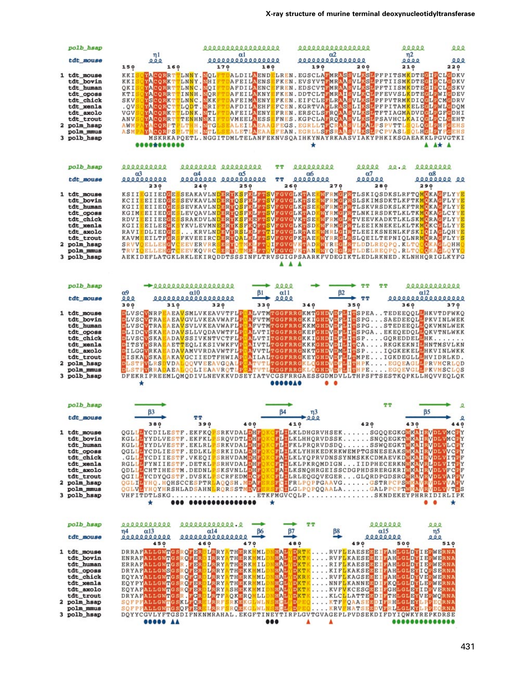| polb hsap                                                                                                                                         |                                                                                                                                                                                                                                                                                                                                                                                                                             | 00000000000000000                                                                                                                                                                                                                                                                                                                                                                                                                                                                                                                                                                                                                                                                                                                                                                      | 000000000000000<br>$\alpha$ 2                                                                                                                                                                                                                                                                                                                                                                                                                                                                                                                                                                                                                                                                                                                            |                                           | 00000<br>$000$                                                                                                                                                                                                                                                                                            |
|---------------------------------------------------------------------------------------------------------------------------------------------------|-----------------------------------------------------------------------------------------------------------------------------------------------------------------------------------------------------------------------------------------------------------------------------------------------------------------------------------------------------------------------------------------------------------------------------|----------------------------------------------------------------------------------------------------------------------------------------------------------------------------------------------------------------------------------------------------------------------------------------------------------------------------------------------------------------------------------------------------------------------------------------------------------------------------------------------------------------------------------------------------------------------------------------------------------------------------------------------------------------------------------------------------------------------------------------------------------------------------------------|----------------------------------------------------------------------------------------------------------------------------------------------------------------------------------------------------------------------------------------------------------------------------------------------------------------------------------------------------------------------------------------------------------------------------------------------------------------------------------------------------------------------------------------------------------------------------------------------------------------------------------------------------------------------------------------------------------------------------------------------------------|-------------------------------------------|-----------------------------------------------------------------------------------------------------------------------------------------------------------------------------------------------------------------------------------------------------------------------------------------------------------|
| tdt mouse                                                                                                                                         | $\eta$ 1<br>000<br>150<br>160                                                                                                                                                                                                                                                                                                                                                                                               | $\alpha$ l<br>000000000000000<br>170<br>180                                                                                                                                                                                                                                                                                                                                                                                                                                                                                                                                                                                                                                                                                                                                            | 00000000000000<br>190                                                                                                                                                                                                                                                                                                                                                                                                                                                                                                                                                                                                                                                                                                                                    | 200                                       | $\eta$ <sub>2</sub><br>000<br>0000<br>210<br>220                                                                                                                                                                                                                                                          |
| 1 tdt_mouse<br>tdt bovin<br>tdt_human<br>tdt_oposs<br>tdt chick<br>tdt_xenla<br>tdt_axolo<br>tdt_trout<br>2 polm hsap<br>polm_mmus<br>3 polb_hsap | KKI<br>YACORRTTLNNY.NOL<br>YACORKTTLNNY.NHI<br>KKI<br>QKI<br>YACORRTTLNNC.NOI<br>KTI<br>YACORRTTINNH. NOR<br>SKV<br>YSCORKTTLNNC.NKK<br>. QV<br>YACORCTTLODT.NRI<br><b>VGV</b><br>YACORKTTLDNK.NTL<br>YACORRITTENHNWKI<br>ANV<br>AWM<br>YACORPTPLTH.NTG<br>ASMP<br>YACORPS                                                                                                                                                  | AFDILAENC<br>AFEILAKNY<br>AFEIMAENY<br>AFDILAEHF<br>VMEELAESS<br>PLTHH NTL<br>MSKRKAPQETL.NGGITDMLTELANFEKNVSQAIHKYNAYRKAASVIAKYPHKIKSGAEAKKLPGVGTKI                                                                                                                                                                                                                                                                                                                                                                                                                                                                                                                                                                                                                                   | ALDILAENDELREN, EGSCLAANRASSVLKSLPFPITSM <mark>K</mark> DTE <mark>GIP</mark> CL <mark>G</mark> DKV<br>AFEILAENSEFKEN.EVSYVTEMRAASVLKSLPFTIISM <mark>K</mark> DTEGIPCLGDKV<br>FREN. EDSCVTFMRAASVL <mark>KSL</mark> PFTIISM <mark>K</mark> DTE <mark>GIPCLG</mark> SKV<br>FKEN.DDTCLTFMRAISVL <mark>KCL</mark> PFEVVSL <mark>K</mark> DTE <mark>CLP</mark> WICDEV<br>EFCEN.KGRTVA <mark>FLRASSLIKSL</mark> PFPITAM <mark>K</mark> ELE <mark>GLPWLG</mark> DQM<br>AFEILAENY <mark>EFREN.ERSCLSFRQAASVLKSL</mark> TFTIAGMADVDGLPGFGDHI<br><mark>EFNES.KGPCLAFRQAASVLKSL</mark> PSAVHCL <mark>KAIQCLP</mark> CL <mark>G</mark> EHT<br>SEALEILAEAAGFEGS.EGRLLTECRAASVLKALPSPVTTLSQLQGLPHFGEHS<br>SEALETLAEAAGFEAN. EGRLLSESRAASVLKSLPCPVASLSOLHGLEYFGEHS<br>* |                                           | FKEN. EIFCLEFLRAASVLKSLPFPVTRMKDIQGLPCMGDRV<br>A* A                                                                                                                                                                                                                                                       |
| polb hsap                                                                                                                                         | 0000000000                                                                                                                                                                                                                                                                                                                                                                                                                  | 00000000 000000000                                                                                                                                                                                                                                                                                                                                                                                                                                                                                                                                                                                                                                                                                                                                                                     | 000000000<br>ጥጥ                                                                                                                                                                                                                                                                                                                                                                                                                                                                                                                                                                                                                                                                                                                                          | 00000<br>00.0                             | 00000000                                                                                                                                                                                                                                                                                                  |
| tdt mouse                                                                                                                                         | $\alpha$ <sup>3</sup><br>0000000000<br>230                                                                                                                                                                                                                                                                                                                                                                                  | $\alpha$ 4<br>α5<br>00000000 0000000000<br>250<br>240                                                                                                                                                                                                                                                                                                                                                                                                                                                                                                                                                                                                                                                                                                                                  | œб<br>00000000<br>TТ<br>260<br>270                                                                                                                                                                                                                                                                                                                                                                                                                                                                                                                                                                                                                                                                                                                       | α7<br>000000<br>280                       | α8<br>00000000 00<br>290                                                                                                                                                                                                                                                                                  |
| 1 tdt_mouse<br>tdt_bovin<br>tdt_human<br>tdt_oposs<br>tdt chick<br>tdt_xenla<br>tdt_axolo<br>tdt_trout<br>2 polm hsap<br>polm mmus<br>3 polb hsap | <b>SRVVOELLEHCVCEEVERVRR</b>                                                                                                                                                                                                                                                                                                                                                                                                | KSII <mark>EGIIEDGESSEAKAVLNDERYKSFKLFTSVFGVGLKT</mark> AEKWFRMGFRTLSKIQSDKSLRFTQMOKAGFLYYE<br>KCII <mark>E</mark> EIIEDCESSEVKAVLNDERYQSFKLFT <mark>SVFGVGLKT</mark> SE<br>KGII <mark>E</mark> EIIEDGESSEVKAVLN <mark>DERYQSFKLFTSVFGVGLKT</mark> SE <mark>K</mark><br>KGIMEEIIEDGESLEVQAVLNDERYQSFKLFTSVFGVGLKTAD<br>RDVIEEIIEEGESSRAKDVLNDERYKSFKEFTSVFGVGVKTSE<br>KGII <mark>S</mark> EILEE <mark>GKSYKVLEVMNEERYKSFKOFTSVFGVGLKTSD</mark><br>RAVISDLIEDGES , , , KRVLN <mark>DEVYRSLKLFTT</mark> IFGVGLR <mark>TAE</mark><br>KAVMEEILTFCRSFKVEEIRCDERYQALKLFTSVFGVGPKTAE<br>SERYOTMKLFTOIFGVGVKTAD<br>TRVIOELLEHGTCEEVKQVRCSERYOTMKLETOVFGVGVKTANRWYQEGL <mark>R</mark> TLDELREQPQ.RLTOOQKAGLQYYO<br>AEKIDEFLATGKLRKLEKIRQDDTSSSINFLTRVSGIGPSAARKFVDEGIKTLEDLRKNED.KLNHHQRIGLKYFG |                                                                                                                                                                                                                                                                                                                                                                                                                                                                                                                                                                                                                                                                                                                                                          |                                           | <b>WFRMCFRSLSKIMSDKTLKFTKMOKACFLYYE</b><br><b>WFRMCFRTLSKVRSDKSLKFTRMCKACFLYYE</b><br>WYRMGFRTLNKIRSDKTLKLTKMOKACLCYYE<br>WFRMGLRTVEEVKADKTLKLSKMORAGFLYYE<br>WFRMGFRTLEEIKNEKELKLTKMOKCGLLYYE<br>WHRLGIRTLEEIKSNENLKFSKIOIAGLOHYE<br>WYRRCLRSLOEILTEPNIOLNRMORACFLYYS<br>WYRECLRTLDDLREOPO.KLTOOOKACLOHH |
| polb hsap                                                                                                                                         | 000000000000000000                                                                                                                                                                                                                                                                                                                                                                                                          |                                                                                                                                                                                                                                                                                                                                                                                                                                                                                                                                                                                                                                                                                                                                                                                        | 0000                                                                                                                                                                                                                                                                                                                                                                                                                                                                                                                                                                                                                                                                                                                                                     | <b>TT</b>                                 | 00000000000                                                                                                                                                                                                                                                                                               |
| tdt_mouse                                                                                                                                         | $\alpha$ 9<br>000<br>300<br>310                                                                                                                                                                                                                                                                                                                                                                                             | $\alpha$ 10<br>61<br>000000000000000000<br>320<br>330                                                                                                                                                                                                                                                                                                                                                                                                                                                                                                                                                                                                                                                                                                                                  | $\alpha$ 11<br>eeee<br>340                                                                                                                                                                                                                                                                                                                                                                                                                                                                                                                                                                                                                                                                                                                               | β2<br>350                                 | $\alpha$ 12<br>0000000000000000<br>360<br>370                                                                                                                                                                                                                                                             |
| 1 tdt mouse<br>tdt_bovin<br>tdt human<br>tdt_oposs<br>tdt_chick<br>tdt xenla<br>tdt_axolo<br>tdt trout<br>2 polm_hsap<br>polm mmus<br>3 polb hsap | <b>DLVSCVNRPEAEAVSMLVKEAVVTFLE</b><br><b>DLVSCVTRAEAEAVGVLVKEAVWAFLE</b><br><b>DLVSCVTRAEAEAVSVLVKEAVWAFLE</b><br><b>DLIDCVSKAEADAVSLLVQDAVWTFL<mark>P</mark></b><br><b>DLVSCVSKA</b><br><b>DITSYVSRA</b><br><b>DILGGVRKA</b><br><b>DISKAVSKAEAKAVGCIIEDTFHWIAP</b><br><b>DLSTPVLRSDVDALQQVVEEAVGQALF</b><br><b>DLSTPVRRADAEALOOLIEAAVROTLP</b>                                                                             | ADAVSSIVKNTVCTFLE<br><b>ALVTI</b><br><b>AETTEQLIKSIVWKFVE</b><br>VVTL<br><b>BADAVAMVVRDAVWTFLE</b><br>DFEKRIPREEMLQMQDIVLNEVKKVDSEYIATVCGSFRRGAESSGDMDVLLTHPSFTSESTKQPKLLHQVVEQLQK                                                                                                                                                                                                                                                                                                                                                                                                                                                                                                                                                                                                     | ALVTMTGGFRRGKMTGHDVDFLITSPEATEDEEQQLLHKVTDFWKQ<br>FVTMTGGFRRGKKIGHDVDFLITSPGSAEDEEQL <mark>I</mark> PKVINLWEK<br>FVTMTGGFRRGKKMGHDVDFLITSPGSTEDEEQL <mark>L</mark> QKVMNLWEK<br>ALVTITGGFRRGKEFGHDVDFLITSPGAEKEQEDQLLQKVTNLWKK<br>TGGFRRGKKIGHDIDFLITSPGQREDDEL <mark>L</mark> HK<br>IVTLTGGFRRGKKKGHDVDILITCARKGKEKNILHNTMSVLKN<br><b>TGGFRRGNKTGHD<mark>VDMLIT</mark>SPIQGKEKEL<mark>L</mark>HKVINLWKK</b><br>AILALTGGFRRGKEYGHDVDFLLTMPEIGKDEGLLLHVIDRLKD.<br>ATVTLTGGFRRGKLOGHDVDFLITHPKEGOEAGLLPRVMCRLOD<br>ATVTLTGGFRRGKLOGHDVDFLITHPEEGQEVGLLPKVMSCLOS<br><b></b>                                                                                                                                                                                 |                                           |                                                                                                                                                                                                                                                                                                           |
| polb hsap                                                                                                                                         |                                                                                                                                                                                                                                                                                                                                                                                                                             |                                                                                                                                                                                                                                                                                                                                                                                                                                                                                                                                                                                                                                                                                                                                                                                        |                                                                                                                                                                                                                                                                                                                                                                                                                                                                                                                                                                                                                                                                                                                                                          | <b>TT</b>                                 |                                                                                                                                                                                                                                                                                                           |
| tdt mouse                                                                                                                                         | 63                                                                                                                                                                                                                                                                                                                                                                                                                          | тT                                                                                                                                                                                                                                                                                                                                                                                                                                                                                                                                                                                                                                                                                                                                                                                     | 84<br>ŋ3<br>000                                                                                                                                                                                                                                                                                                                                                                                                                                                                                                                                                                                                                                                                                                                                          |                                           | <b>B5</b>                                                                                                                                                                                                                                                                                                 |
| 1 tdt mouse<br>tdt bovin<br>tdt_human<br>tdt_oposs<br>tdt_chick<br>tdt xenla<br>tdt_axolo<br>tdt_trout<br>2 polm_hsap<br>polm mmus<br>3 polb_hsap | 380<br>QGLLLYCDILESTF.EKFKQPSRKVDALDHE<br>KGLLEYYDLVESTF.EKFKLPSRQVDTLDHF<br>KGLLEYYDLVESTF.EKLRLPSRKVDALDHF<br>QGLL YCDLIESTF. EDLKLPSRKIDALDHF<br>.GLLDYCDIIESTF.VKEQIPSRHVDAMDHE<br>RGLLFFYNIIESTF.DETKLPSRHVDALDHF<br>QDLL <mark>E</mark> CHTIHESTM.DEDNL <mark>P</mark> SKSVNLL <mark>D</mark> HF<br>QGILLYCDYQGSTF.DVSKLPSCRFEDMDCF<br>OGLILYHO.HOHSCCESPTRLAOOSH.MDAF<br><b>QGLVLYHQYHRSHLADSAHNLRQRSSTMEVE</b><br>* | 400<br>390<br>VHFITDTLSKGETKFMGVCOLPSKNDEKEYPHRRIDIRLIPK<br><br>*                                                                                                                                                                                                                                                                                                                                                                                                                                                                                                                                                                                                                                                                                                                      | 410<br>L <mark>I</mark> LKLDHGRVHSEKSGQQEGKG <mark>WK</mark><br>FLILRLEQGQVEGERGLQRDPGDSRGWRAVRVDLVAPFV<br>FCTFRLPQPPGAAVGGSTRPCPSWKAVRVDLVVAFV<br>FCTLGLPQPQQAALAGALPPCPTWK <mark>A</mark> VRVDLVVT <mark>P</mark> S                                                                                                                                                                                                                                                                                                                                                                                                                                                                                                                                    | 420                                       | 430<br><b>NDLVMCPY</b><br>FLILKLHHQRVDSSKSNQQEGKTWKAIRVDLVMCFY<br>FLIFKLPRQRVDSDQSSWQEGKTWKAIRVDLVLCPY<br>FLILKLYHHKEDKRKWEMPTGSNESEAKSWKAIRVDLVVCPY<br>FAILKLYQPRVDNSSYNMSKKCDMAEVKDWKAIRVDLVITPF<br>FTILKLPKRQMDIGNIIDPHECERKNWKAVRLDLVITPY<br>FAILKSNQHRGEISSCDGPHDSRERGKRIMKAIRVDLVFCPF               |
|                                                                                                                                                   |                                                                                                                                                                                                                                                                                                                                                                                                                             |                                                                                                                                                                                                                                                                                                                                                                                                                                                                                                                                                                                                                                                                                                                                                                                        |                                                                                                                                                                                                                                                                                                                                                                                                                                                                                                                                                                                                                                                                                                                                                          |                                           |                                                                                                                                                                                                                                                                                                           |
| polb hsap<br>tdt mouse                                                                                                                            | 00000000000<br>$\alpha$ 13<br>n4<br>00000000000<br>450                                                                                                                                                                                                                                                                                                                                                                      | 000000000000.0<br>$\alpha$ 14<br>66<br>470<br>460                                                                                                                                                                                                                                                                                                                                                                                                                                                                                                                                                                                                                                                                                                                                      | <b>TT</b><br>β7<br>480                                                                                                                                                                                                                                                                                                                                                                                                                                                                                                                                                                                                                                                                                                                                   | 0000000<br>$\alpha$ 15<br>00000000<br>490 | 000<br>η5<br>000<br>510<br>500                                                                                                                                                                                                                                                                            |
| 1 tdt_mouse<br>tdt bovin<br>tdt_human<br>tdt_oposs<br>tdt_chick<br>tdt_xenla<br>tdt_axolo<br>tdt_trout<br>2 polm hsap<br>polm mmus<br>3 polb_hsap | <b>99999 AA</b>                                                                                                                                                                                                                                                                                                                                                                                                             | DRRAFALLGWTGSROFERDLRRYATHERKMMLD<br>ENRAFALLGWTGSROFERDIRRYATHERKMML<br>ERRAFALLGWTGSR.FERDLRRYATHERKMIL<br>DRYAFALLGWSGSROFERDL <mark>RRYATHE</mark> KKMML<br>EQYAY <mark>ALLGWTGSRQFGRDLRRYATH</mark> ERKMML <mark>I</mark><br>EQYPYALLGWTGSROFERDLRRYATHEKRMML<br>EQYAFALLGWTGSROFERDLRRYASHEKKMMI<br>DRYAFALLGWTGSR.FGRDLRTFAQKERQMLL<br>SQFPFALLGWTGSKLFQRELRRFSRKEKGLWLNS<br>SQFPFALLGWTGSQFFERELRRFSRQEKGLWLNS<br>DQYYCGVLYFTGSDIFNKNMRAHAL.EKGFTINEYTIRPLGVTGVAGEPLPVDSEKDIFDYIQWKYREPKDRSE<br>                                                                                                                                                                                                                                                                               | HALYDRTKRVFLEAESEEEIFAHLGLDYIEPWERNA<br>HALYDKTKRVFLKAESEEEIFAHLGLDYIEPWERNA<br><b>HALYDKTKRIFLKAESEEFFAHLGLDYIEPWERNA</b><br>HALYDKTKKIFLKAKSEEBIFAHLGLEYIQPSERNA<br>E <mark>ALYDKRK</mark> RVF <mark>LKAGSEEEFAHLGLDYVEPWERNA</mark><br>H <mark>GLYDKTK</mark> NNFLKANNEEDIFKQLGLDYLEPWERNA<br>HALYDKTKKVFVKCESGEEIFGHLGLEYIDPVERNA<br>HALYDKTKKLCLLATTEEDIFTHLGLEYVEPWORNA<br>EGLFDPEQKTFFQAASEEDIFRHLGLEYLFFEQRNA<br>EGLFDPEQKRVFHATSEEDVFRLLGLKYLFPEQRNA<br>$\mathbf{A}$ $\mathbf{A}$                                                                                                                                                                                                                                                               |                                           |                                                                                                                                                                                                                                                                                                           |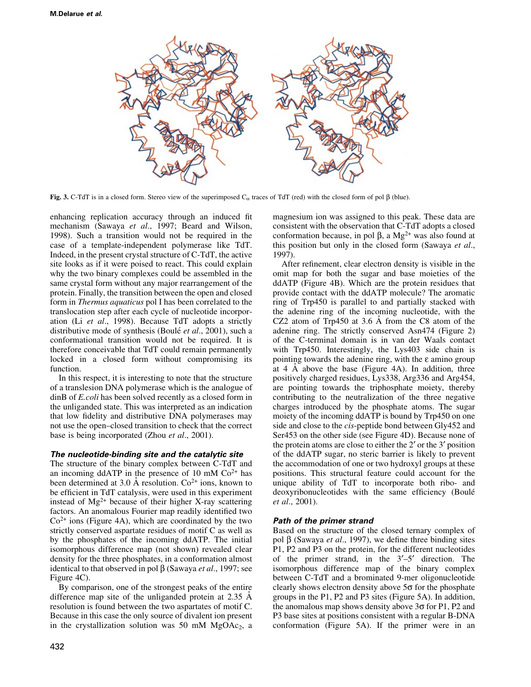

Fig. 3. C-TdT is in a closed form. Stereo view of the superimposed  $C_{\alpha}$  traces of TdT (red) with the closed form of pol  $\beta$  (blue).

enhancing replication accuracy through an induced fit mechanism (Sawaya et al., 1997; Beard and Wilson, 1998). Such a transition would not be required in the case of a template-independent polymerase like TdT. Indeed, in the present crystal structure of C-TdT, the active site looks as if it were poised to react. This could explain why the two binary complexes could be assembled in the same crystal form without any major rearrangement of the protein. Finally, the transition between the open and closed form in Thermus aquaticus pol I has been correlated to the translocation step after each cycle of nucleotide incorporation (Li et al., 1998). Because TdT adopts a strictly distributive mode of synthesis (Boulé *et al.*, 2001), such a conformational transition would not be required. It is therefore conceivable that TdT could remain permanently locked in a closed form without compromising its function.

In this respect, it is interesting to note that the structure of a translesion DNA polymerase which is the analogue of dinB of E.coli has been solved recently as a closed form in the unliganded state. This was interpreted as an indication that low fidelity and distributive DNA polymerases may not use the open-closed transition to check that the correct base is being incorporated (Zhou *et al.*, 2001).

#### The nucleotide-binding site and the catalytic site

The structure of the binary complex between C-TdT and an incoming ddATP in the presence of 10 mM  $Co<sup>2+</sup>$  has been determined at 3.0 Å resolution.  $Co<sup>2+</sup>$  ions, known to be efficient in TdT catalysis, were used in this experiment instead of  $Mg^{2+}$  because of their higher X-ray scattering factors. An anomalous Fourier map readily identified two  $Co<sup>2+</sup>$  ions (Figure 4A), which are coordinated by the two strictly conserved aspartate residues of motif C as well as by the phosphates of the incoming ddATP. The initial isomorphous difference map (not shown) revealed clear density for the three phosphates, in a conformation almost identical to that observed in pol  $\beta$  (Sawaya et al., 1997; see Figure 4C).

By comparison, one of the strongest peaks of the entire difference map site of the unliganded protein at  $2.35 \text{ A}$ resolution is found between the two aspartates of motif C. Because in this case the only source of divalent ion present in the crystallization solution was 50 mM  $MgOAc<sub>2</sub>$ , a magnesium ion was assigned to this peak. These data are consistent with the observation that C-TdT adopts a closed conformation because, in pol  $\beta$ , a Mg<sup>2+</sup> was also found at this position but only in the closed form (Sawaya et al., 1997).

After refinement, clear electron density is visible in the omit map for both the sugar and base moieties of the ddATP (Figure 4B). Which are the protein residues that provide contact with the ddATP molecule? The aromatic ring of Trp450 is parallel to and partially stacked with the adenine ring of the incoming nucleotide, with the CZ2 atom of Trp450 at  $3.6$  Å from the C8 atom of the adenine ring. The strictly conserved Asn474 (Figure 2) of the C-terminal domain is in van der Waals contact with Trp450. Interestingly, the Lys403 side chain is pointing towards the adenine ring, with the e amino group at 4  $\AA$  above the base (Figure 4A). In addition, three positively charged residues, Lys338, Arg336 and Arg454, are pointing towards the triphosphate moiety, thereby contributing to the neutralization of the three negative charges introduced by the phosphate atoms. The sugar moiety of the incoming ddATP is bound by Trp450 on one side and close to the cis-peptide bond between Gly452 and Ser453 on the other side (see Figure 4D). Because none of the protein atoms are close to either the  $2'$  or the  $3'$  position of the ddATP sugar, no steric barrier is likely to prevent the accommodation of one or two hydroxyl groups at these positions. This structural feature could account for the unique ability of TdT to incorporate both ribo- and deoxyribonucleotides with the same efficiency (Boulé et al., 2001).

# Path of the primer strand

Based on the structure of the closed ternary complex of pol  $\beta$  (Sawaya *et al.*, 1997), we define three binding sites P1, P2 and P3 on the protein, for the different nucleotides of the primer strand, in the  $3'-5'$  direction. The isomorphous difference map of the binary complex between C-TdT and a brominated 9-mer oligonucleotide clearly shows electron density above  $5\sigma$  for the phosphate groups in the P1, P2 and P3 sites (Figure 5A). In addition, the anomalous map shows density above  $3\sigma$  for P1, P2 and P3 base sites at positions consistent with a regular B-DNA conformation (Figure 5A). If the primer were in an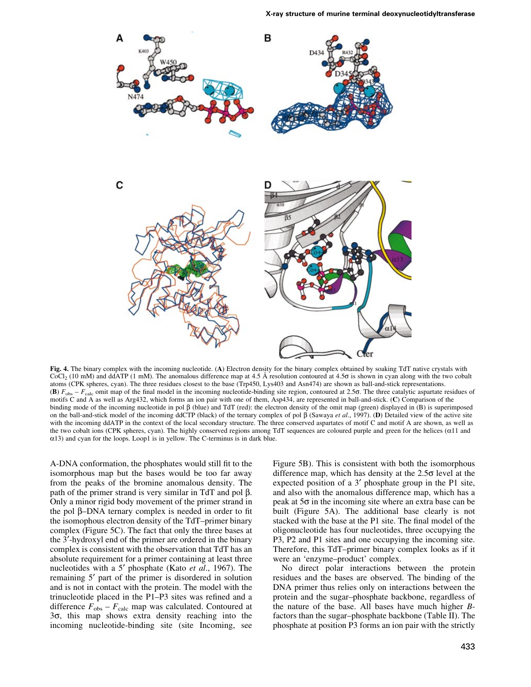

Fig. 4. The binary complex with the incoming nucleotide. (A) Electron density for the binary complex obtained by soaking TdT native crystals with CoCl<sub>2</sub> (10 mM) and ddATP (1 mM). The anomalous difference map at 4.5 Å resolution contoured at 4.5 $\sigma$  is shown in cyan along with the two cobalt atoms (CPK spheres, cyan). The three residues closest to the base (Trp450, Lys403 and Asn474) are shown as ball-and-stick representations. (B)  $F_{obs} - F_{calc}$  omit map of the final model in the incoming nucleotide-binding site region, contoured at 2.56. The three catalytic aspartate residues of motifs C and A as well as Arg432, which forms an ion pair with one of them, Asp434, are represented in ball-and-stick. (C) Comparison of the binding mode of the incoming nucleotide in pol  $\beta$  (blue) and TdT (red): the electron density of the omit map (green) displayed in (B) is superimposed on the ball-and-stick model of the incoming ddCTP (black) of the ternary complex of pol  $\beta$  (Sawaya *et al.*, 1997). (D) Detailed view of the active site with the incoming ddATP in the context of the local secondary structure. The three conserved aspartates of motif C and motif A are shown, as well as the two cobalt ions (CPK spheres, cyan). The highly conserved regions among TdT sequences are coloured purple and green for the helices ( $\alpha$ 11 and  $\alpha$ 13) and cyan for the loops. Loop1 is in yellow. The C-terminus is in dark blue.

A-DNA conformation, the phosphates would still fit to the isomorphous map but the bases would be too far away from the peaks of the bromine anomalous density. The path of the primer strand is very similar in  $TdT$  and pol  $\beta$ . Only a minor rigid body movement of the primer strand in the pol  $\beta$ -DNA ternary complex is needed in order to fit the isomophous electron density of the TdT-primer binary complex (Figure 5C). The fact that only the three bases at the 3¢-hydroxyl end of the primer are ordered in the binary complex is consistent with the observation that TdT has an absolute requirement for a primer containing at least three nucleotides with a 5' phosphate (Kato et al., 1967). The remaining 5<sup>'</sup> part of the primer is disordered in solution and is not in contact with the protein. The model with the trinucleotide placed in the P1–P3 sites was refined and a difference  $F_{obs} - F_{calc}$  map was calculated. Contoured at  $3\sigma$ , this map shows extra density reaching into the incoming nucleotide-binding site (site Incoming, see Figure 5B). This is consistent with both the isomorphous difference map, which has density at the  $2.5\sigma$  level at the expected position of a 3' phosphate group in the P1 site, and also with the anomalous difference map, which has a peak at  $5\sigma$  in the incoming site where an extra base can be built (Figure 5A). The additional base clearly is not stacked with the base at the P1 site. The final model of the oligonucleotide has four nucleotides, three occupying the P3, P2 and P1 sites and one occupying the incoming site. Therefore, this TdT-primer binary complex looks as if it were an 'enzyme-product' complex.

No direct polar interactions between the protein residues and the bases are observed. The binding of the DNA primer thus relies only on interactions between the protein and the sugar-phosphate backbone, regardless of the nature of the base. All bases have much higher Bfactors than the sugar-phosphate backbone (Table II). The phosphate at position P3 forms an ion pair with the strictly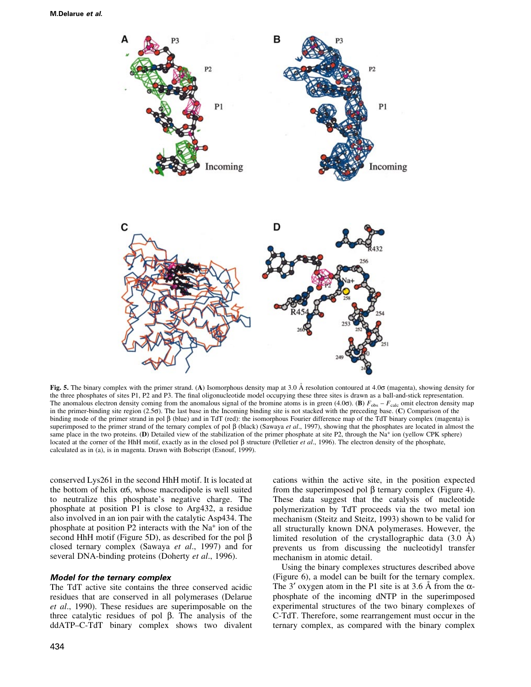

Fig. 5. The binary complex with the primer strand. (A) Isomorphous density map at 3.0 Å resolution contoured at 4.06 (magenta), showing density for the three phosphates of sites P1, P2 and P3. The final oligonucleotide model occupying these three sites is drawn as a ball-and-stick representation. The anomalous electron density coming from the anomalous signal of the bromine atoms is in green (4.0 $\sigma$ ). (B)  $F_{\text{obs}} - F_{\text{calc}}$  omit electron density map in the primer-binding site region (2.5s). The last base in the Incoming binding site is not stacked with the preceding base. (C) Comparison of the binding mode of the primer strand in pol  $\beta$  (blue) and in TdT (red): the isomorphous Fourier difference map of the TdT binary complex (magenta) is superimposed to the primer strand of the ternary complex of pol  $\beta$  (black) (Sawaya *et al.*, 1997), showing that the phosphates are located in almost the same place in the two proteins. (D) Detailed view of the stabilization of the primer phosphate at site P2, through the Na+ ion (yellow CPK sphere) located at the corner of the HhH motif, exactly as in the closed pol  $\beta$  structure (Pelletier et al., 1996). The electron density of the phosphate, calculated as in (a), is in magenta. Drawn with Bobscript (Esnouf, 1999).

conserved Lys261 in the second HhH motif. It is located at the bottom of helix  $\alpha$ 6, whose macrodipole is well suited to neutralize this phosphate's negative charge. The phosphate at position P1 is close to Arg432, a residue also involved in an ion pair with the catalytic Asp434. The phosphate at position P2 interacts with the Na+ ion of the second HhH motif (Figure 5D), as described for the pol  $\beta$ closed ternary complex (Sawaya et al., 1997) and for several DNA-binding proteins (Doherty et al., 1996).

#### Model for the ternary complex

The TdT active site contains the three conserved acidic residues that are conserved in all polymerases (Delarue et al., 1990). These residues are superimposable on the three catalytic residues of pol  $\beta$ . The analysis of the ddATP-C-TdT binary complex shows two divalent cations within the active site, in the position expected from the superimposed pol  $\beta$  ternary complex (Figure 4). These data suggest that the catalysis of nucleotide polymerization by TdT proceeds via the two metal ion mechanism (Steitz and Steitz, 1993) shown to be valid for all structurally known DNA polymerases. However, the limited resolution of the crystallographic data  $(3.0 \text{ Å})$ prevents us from discussing the nucleotidyl transfer mechanism in atomic detail.

Using the binary complexes structures described above (Figure 6), a model can be built for the ternary complex. The 3' oxygen atom in the P1 site is at 3.6 Å from the  $\alpha$ phosphate of the incoming dNTP in the superimposed experimental structures of the two binary complexes of C-TdT. Therefore, some rearrangement must occur in the ternary complex, as compared with the binary complex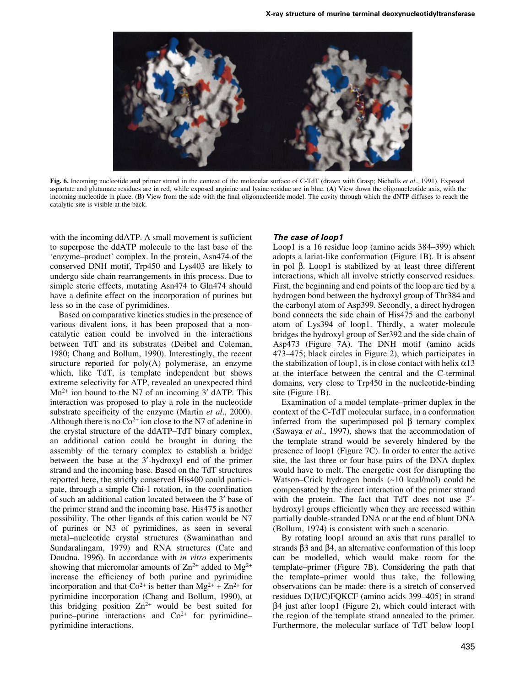

Fig. 6. Incoming nucleotide and primer strand in the context of the molecular surface of C-TdT (drawn with Grasp; Nicholls et al., 1991). Exposed aspartate and glutamate residues are in red, while exposed arginine and lysine residue are in blue. (A) View down the oligonucleotide axis, with the incoming nucleotide in place. (B) View from the side with the final oligonucleotide model. The cavity through which the dNTP diffuses to reach the catalytic site is visible at the back.

with the incoming ddATP. A small movement is sufficient to superpose the ddATP molecule to the last base of the `enzyme±product' complex. In the protein, Asn474 of the conserved DNH motif, Trp450 and Lys403 are likely to undergo side chain rearrangements in this process. Due to simple steric effects, mutating Asn474 to Gln474 should have a definite effect on the incorporation of purines but less so in the case of pyrimidines.

Based on comparative kinetics studies in the presence of various divalent ions, it has been proposed that a noncatalytic cation could be involved in the interactions between TdT and its substrates (Deibel and Coleman, 1980; Chang and Bollum, 1990). Interestingly, the recent structure reported for  $poly(A)$  polymerase, an enzyme which, like TdT, is template independent but shows extreme selectivity for ATP, revealed an unexpected third  $Mn^{2+}$  ion bound to the N7 of an incoming 3' dATP. This interaction was proposed to play a role in the nucleotide substrate specificity of the enzyme (Martin *et al.*, 2000). Although there is no  $Co^{2+}$  ion close to the N7 of adenine in the crystal structure of the ddATP-TdT binary complex, an additional cation could be brought in during the assembly of the ternary complex to establish a bridge between the base at the 3'-hydroxyl end of the primer strand and the incoming base. Based on the TdT structures reported here, the strictly conserved His400 could participate, through a simple Chi-1 rotation, in the coordination of such an additional cation located between the 3¢ base of the primer strand and the incoming base. His475 is another possibility. The other ligands of this cation would be N7 of purines or N3 of pyrimidines, as seen in several metal-nucleotide crystal structures (Swaminathan and Sundaralingam, 1979) and RNA structures (Cate and Doudna, 1996). In accordance with in vitro experiments showing that micromolar amounts of  $\text{Zn}^{2+}$  added to  $\text{Mg}^{2+}$ increase the efficiency of both purine and pyrimidine incorporation and that  $Co^{2+}$  is better than  $Mg^{2+} + Zn^{2+}$  for pyrimidine incorporation (Chang and Bollum, 1990), at this bridging position  $Zn^{2+}$  would be best suited for purine-purine interactions and  $Co<sup>2+</sup>$  for pyrimidinepyrimidine interactions.

#### The case of loop1

Loop1 is a  $16$  residue loop (amino acids  $384-399$ ) which adopts a lariat-like conformation (Figure 1B). It is absent in pol  $\beta$ . Loop1 is stabilized by at least three different interactions, which all involve strictly conserved residues. First, the beginning and end points of the loop are tied by a hydrogen bond between the hydroxyl group of Thr384 and the carbonyl atom of Asp399. Secondly, a direct hydrogen bond connects the side chain of His475 and the carbonyl atom of Lys394 of loop1. Thirdly, a water molecule bridges the hydroxyl group of Ser392 and the side chain of Asp473 (Figure 7A). The DNH motif (amino acids 473-475; black circles in Figure 2), which participates in the stabilization of loop1, is in close contact with helix  $\alpha$ 13 at the interface between the central and the C-terminal domains, very close to Trp450 in the nucleotide-binding site (Figure 1B).

Examination of a model template-primer duplex in the context of the C-TdT molecular surface, in a conformation inferred from the superimposed pol  $\beta$  ternary complex (Sawaya et al., 1997), shows that the accommodation of the template strand would be severely hindered by the presence of loop1 (Figure 7C). In order to enter the active site, the last three or four base pairs of the DNA duplex would have to melt. The energetic cost for disrupting the Watson-Crick hydrogen bonds  $(-10 \text{ kcal/mol})$  could be compensated by the direct interaction of the primer strand with the protein. The fact that TdT does not use 3'hydroxyl groups efficiently when they are recessed within partially double-stranded DNA or at the end of blunt DNA (Bollum, 1974) is consistent with such a scenario.

By rotating loop1 around an axis that runs parallel to strands  $\beta$ 3 and  $\beta$ 4, an alternative conformation of this loop can be modelled, which would make room for the template–primer (Figure 7B). Considering the path that the template-primer would thus take, the following observations can be made: there is a stretch of conserved residues D(H/C)FQKCF (amino acids 399-405) in strand  $\beta$ 4 just after loop1 (Figure 2), which could interact with the region of the template strand annealed to the primer. Furthermore, the molecular surface of TdT below loop1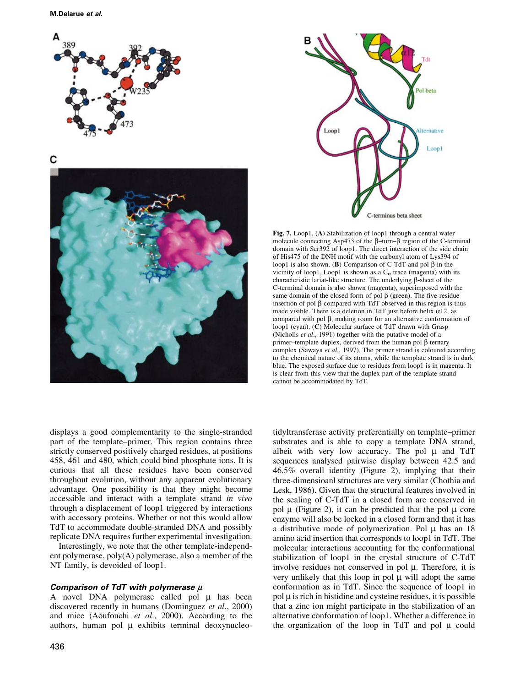

C





Fig. 7. Loop1. (A) Stabilization of loop1 through a central water molecule connecting Asp473 of the  $\beta$ -turn- $\beta$  region of the C-terminal domain with Ser392 of loop1. The direct interaction of the side chain of His475 of the DNH motif with the carbonyl atom of Lys394 of loop1 is also shown. (B) Comparison of C-TdT and pol  $\beta$  in the vicinity of loop1. Loop1 is shown as a  $C_{\alpha}$  trace (magenta) with its characteristic lariat-like structure. The underlying  $\beta$ -sheet of the C-terminal domain is also shown (magenta), superimposed with the same domain of the closed form of pol  $\beta$  (green). The five-residue insertion of pol  $\beta$  compared with TdT observed in this region is thus made visible. There is a deletion in TdT just before helix  $\alpha$ 12, as compared with pol  $\beta$ , making room for an alternative conformation of loop1 (cyan). (C) Molecular surface of TdT drawn with Grasp (Nicholls et al., 1991) together with the putative model of a primer-template duplex, derived from the human pol  $\beta$  ternary complex (Sawaya et al., 1997). The primer strand is coloured according to the chemical nature of its atoms, while the template strand is in dark blue. The exposed surface due to residues from loop1 is in magenta. It is clear from this view that the duplex part of the template strand cannot be accommodated by TdT.

displays a good complementarity to the single-stranded part of the template–primer. This region contains three strictly conserved positively charged residues, at positions 458, 461 and 480, which could bind phosphate ions. It is curious that all these residues have been conserved throughout evolution, without any apparent evolutionary advantage. One possibility is that they might become accessible and interact with a template strand in vivo through a displacement of loop1 triggered by interactions with accessory proteins. Whether or not this would allow TdT to accommodate double-stranded DNA and possibly replicate DNA requires further experimental investigation.

Interestingly, we note that the other template-independent polymerase, poly(A) polymerase, also a member of the NT family, is devoided of loop1.

# Comparison of TdT with polymerase  $\mu$

A novel DNA polymerase called pol  $\mu$  has been discovered recently in humans (Dominguez et al., 2000) and mice (Aoufouchi et al., 2000). According to the authors, human pol  $\mu$  exhibits terminal deoxynucleotidyltransferase activity preferentially on template–primer substrates and is able to copy a template DNA strand, albeit with very low accuracy. The pol  $\mu$  and TdT sequences analysed pairwise display between 42.5 and 46.5% overall identity (Figure 2), implying that their three-dimensioanl structures are very similar (Chothia and Lesk, 1986). Given that the structural features involved in the sealing of C-TdT in a closed form are conserved in pol  $\mu$  (Figure 2), it can be predicted that the pol  $\mu$  core enzyme will also be locked in a closed form and that it has a distributive mode of polymerization. Pol  $\mu$  has an 18 amino acid insertion that corresponds to loop1 in TdT. The molecular interactions accounting for the conformational stabilization of loop1 in the crystal structure of C-TdT involve residues not conserved in pol  $\mu$ . Therefore, it is very unlikely that this loop in pol  $\mu$  will adopt the same conformation as in TdT. Since the sequence of loop1 in  $pol$   $\mu$  is rich in histidine and cysteine residues, it is possible that a zinc ion might participate in the stabilization of an alternative conformation of loop1. Whether a difference in the organization of the loop in TdT and pol  $\mu$  could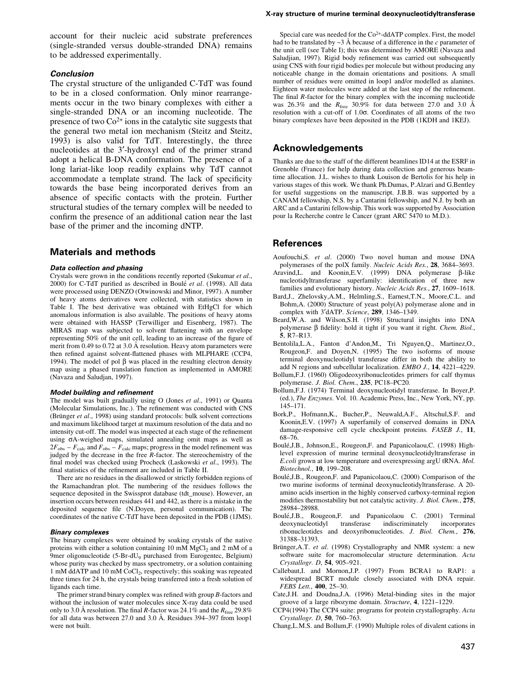account for their nucleic acid substrate preferences (single-stranded versus double-stranded DNA) remains to be addressed experimentally.

# Conclusion

The crystal structure of the unliganded C-TdT was found to be in a closed conformation. Only minor rearrangements occur in the two binary complexes with either a single-stranded DNA or an incoming nucleotide. The presence of two  $Co<sup>2+</sup>$  ions in the catalytic site suggests that the general two metal ion mechanism (Steitz and Steitz, 1993) is also valid for TdT. Interestingly, the three nucleotides at the 3'-hydroxyl end of the primer strand adopt a helical B-DNA conformation. The presence of a long lariat-like loop readily explains why TdT cannot accommodate a template strand. The lack of specificity towards the base being incorporated derives from an absence of specific contacts with the protein. Further structural studies of the ternary complex will be needed to confirm the presence of an additional cation near the last base of the primer and the incoming dNTP.

# Materials and methods

#### Data collection and phasing

Crystals were grown in the conditions recently reported (Sukumar et al., 2000) for C-TdT purified as described in Boulé et al. (1998). All data were processed using DENZO (Otwinowski and Minor, 1997). A number of heavy atoms derivatives were collected, with statistics shown in Table I. The best derivative was obtained with EtHgCl for which anomalous information is also available. The positions of heavy atoms were obtained with HASSP (Terwilliger and Eisenberg, 1987). The MIRAS map was subjected to solvent flattening with an envelope representing 50% of the unit cell, leading to an increase of the figure of merit from  $0.49$  to  $0.72$  at  $3.0 \text{ Å}$  resolution. Heavy atom parameters were then refined against solvent-flattened phases with MLPHARE (CCP4, 1994). The model of pol  $\beta$  was placed in the resulting electron density map using a phased translation function as implemented in AMORE (Navaza and Saludjan, 1997).

#### Model building and refinement

The model was built gradually using O (Jones et al., 1991) or Quanta (Molecular Simulations, Inc.). The refinement was conducted with CNS (Brünger et al., 1998) using standard protocols: bulk solvent corrections and maximum likelihood target at maximum resolution of the data and no intensity cut-off. The model was inspected at each stage of the refinement using  $\sigma$ A-weighed maps, simulated annealing omit maps as well as  $2F_{\rm obs} - F_{\rm calc}$  and  $F_{\rm obs} - F_{\rm calc}$  maps; progress in the model refinement was judged by the decrease in the free  $R$ -factor. The stereochemistry of the final model was checked using Procheck (Laskowski et al., 1993). The final statistics of the refinement are included in Table II.

There are no residues in the disallowed or strictly forbidden regions of the Ramachandran plot. The numbering of the residues follows the sequence deposited in the Swissprot database (tdt\_mouse). However, an insertion occurs between residues 441 and 442, as there is a mistake in the deposited sequence file (N.Doyen, personal communication). The coordinates of the native C-TdT have been deposited in the PDB (1JMS).

#### Binary complexes

The binary complexes were obtained by soaking crystals of the native proteins with either a solution containing 10 mM MgCl<sub>2</sub> and 2 mM of a 9mer oligonucleotide (5-Br-dU<sub>9</sub> purchased from Eurogentec, Belgium) whose purity was checked by mass spectrometry, or a solution containing 1 mM ddATP and 10 mM CoCl2, respectively; this soaking was repeated three times for 24 h, the crystals being transferred into a fresh solution of ligands each time.

The primer strand binary complex was refined with group  $B$ -factors and without the inclusion of water molecules since X-ray data could be used only to 3.0 Å resolution. The final R-factor was 24.1% and the  $R_{\text{free}}$  29.8% for all data was between  $27.0$  and  $3.0$  Å. Residues  $394-397$  from loop1 were not built.

#### X-ray structure of murine terminal deoxynucleotidyltransferase

Special care was needed for the  $Co<sup>2+</sup>$ -ddATP complex. First, the model had to be translated by  $\sim$ 3 Å because of a difference in the c parameter of the unit cell (see Table I); this was determined by AMORE (Navaza and Saludjian, 1997). Rigid body refinement was carried out subsequently using CNS with four rigid bodies per molecule but without producing any noticeable change in the domain orientations and positions. A small number of residues were omitted in loop1 and/or modelled as alanines. Eighteen water molecules were added at the last step of the refinement. The final  $R$ -factor for the binary complex with the incoming nucleotide was 26.3% and the  $R_{\text{free}}$  30.9% for data between 27.0 and 3.0 Å resolution with a cut-off of  $1.0\sigma$ . Coordinates of all atoms of the two binary complexes have been deposited in the PDB (1KDH and 1KEJ).

# Acknowledgements

Thanks are due to the staff of the different beamlines ID14 at the ESRF in Grenoble (France) for help during data collection and generous beamtime allocation. J.L. wishes to thank Louison de Bertolis for his help in various stages of this work. We thank Ph.Dumas, P.Alzari and G.Bentley for useful suggestions on the manuscript. J.B.B. was supported by a CANAM fellowship, N.S. by a Cantarini fellowship, and N.J. by both an ARC and a Cantarini fellowship. This work was supported by Association pour la Recherche contre le Cancer (grant ARC 5470 to M.D.).

### References

- Aoufouchi,S. et al. (2000) Two novel human and mouse DNA polymerases of the polX family. Nucleic Acids Res., 28, 3684-3693.
- Aravind, L. and Koonin, E.V. (1999) DNA polymerase  $\beta$ -like nucleotidyltransferase superfamily: identification of three new families and evolutionary history. Nucleic Acids Res., 27, 1609-1618.
- Bard,J., Zhelovsky,A.M., Helmling,S., Earnest,T.N., Moore,C.L. and Bohm,A. (2000) Structure of yeast poly(A) polymerase alone and in complex with 3'dATP. Science, 289, 1346-1349.
- Beard,W.A. and Wilson,S.H. (1998) Structural insights into DNA polymerase  $\beta$  fidelity: hold it tight if you want it right. *Chem. Biol.*, 5, R7-R13.
- Bentolila,L.A., Fanton d'Andon,M., Tri Nguyen,Q., Martinez,O., Rougeon,F. and Doyen,N. (1995) The two isoforms of mouse terminal deoxynucleotidyl transferase differ in both the ability to add N regions and subcellular localization. EMBO J., 14, 4221-4229.
- Bollum,F.J. (1960) Oligodeoxyribonucleotides primers for calf thymus polymerase. J. Biol. Chem., 235, PC18-PC20.
- Bollum,F.J. (1974) Terminal deoxynucleotidyl transferase. In Boyer,P. (ed.), The Enzymes. Vol. 10. Academic Press, Inc., New York, NY, pp. 145±171.
- Bork,P., Hofmann,K., Bucher,P., Neuwald,A.F., Altschul,S.F. and Koonin,E.V. (1997) A superfamily of conserved domains in DNA damage-responsive cell cycle checkpoint proteins. FASEB J., 11, 68±76.
- Boulé,J.B., Johnson,E., Rougeon,F. and Papanicolaou,C. (1998) Highlevel expression of murine terminal deoxynucleotidyltransferase in E.coli grown at low temperature and overexpressing argU tRNA. Mol. Biotechnol., 10, 199-208.
- Boulé,J.B., Rougeon,F. and Papanicolaou,C. (2000) Comparison of the two murine isoforms of terminal deoxynucleotidyltransferase. A 20 amino acids insertion in the highly conserved carboxy-terminal region modifies thermostability but not catalytic activity. J. Biol. Chem., 275, 28984±28988.
- Boulé,J.B., Rougeon,F. and Papanicolaou C. (2001) Terminal deoxynucleotidyl transferase indiscriminately incorporates deoxynucleotidyl ribonucleotides and deoxyribonucleotides. J. Biol. Chem., 276, 31388±31393.
- Brünger,A.T. et al. (1998) Crystallography and NMR system: a new software suite for macromolecular structure determination. Acta Crystallogr. D, 54, 905-921.
- Callebaut,I. and Mornon,J.P. (1997) From BCRA1 to RAP1: a widespread BCRT module closely associated with DNA repair. FEBS Lett., 400, 25-30.
- Cate,J.H. and Doudna,J.A. (1996) Metal-binding sites in the major groove of a large ribozyme domain. Structure, 4, 1221-1229.
- CCP4(1994) The CCP4 suite: programs for protein crystallography. Acta Crystallogr. D, 50, 760-763.
- Chang,L.M.S. and Bollum,F. (1990) Multiple roles of divalent cations in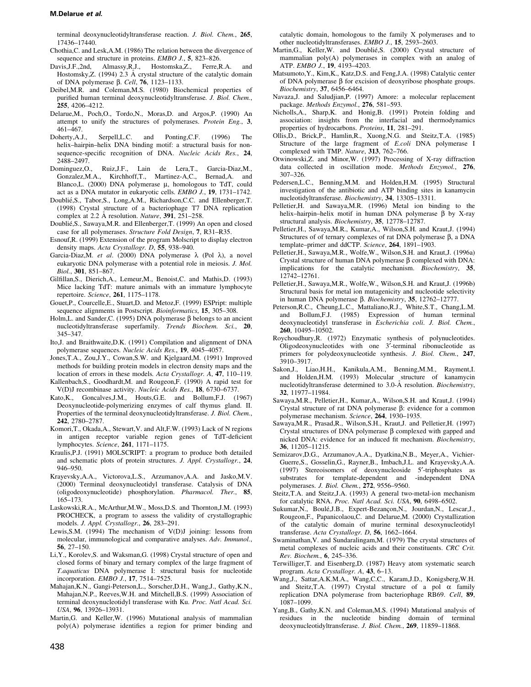terminal deoxynucleotidyltransferase reaction. J. Biol. Chem., 265, 17436±17440.

Chothia,C. and Lesk,A.M. (1986) The relation between the divergence of sequence and structure in proteins. EMBO J., 5, 823-826.

- Davis,J.F.,2nd, Almassy,R.J., Hostomska,Z., Ferre,R.A. and Hostomsky, Z.  $(1994)$  2.3 Å crystal structure of the catalytic domain of DNA polymerase  $\beta$ . *Cell*, **76**, 1123–1133.
- Deibel,M.R. and Coleman,M.S. (1980) Biochemical properties of purified human terminal deoxynucleotidyltransferase. J. Biol. Chem., 255, 4206-4212.
- Delarue,M., Poch,O., Tordo,N., Moras,D. and Argos,P. (1990) An attempt to unify the structures of polymerases. Protein Eng., 3,  $461 - 467$ .
- Doherty,A.J., Serpell,L.C. and Ponting,C.F. (1996) The helix-hairpin-helix DNA binding motif: a structural basis for nonsequence-specific recognition of DNA. Nucleic Acids Res., 24, 2488±2497.
- Dominguez,O., Ruiz,J.F., Lain de Lera,T., Garcia-Diaz,M., Gonzalez,M.A., Kirchhoff,T., Martinez-A,C., Bernad,A. and Blanco, L.  $(2000)$  DNA polymerase  $\mu$ , homologous to TdT, could act as a DNA mutator in eukaryotic cells. EMBO J., 19, 1731-1742.
- Doublié,S., Tabor,S., Long,A.M., Richardson,C.C. and Ellenberger,T. (1998) Crystal structure of a bacteriophage T7 DNA replication complex at 2.2 Å resolution. Nature,  $391$ ,  $251-258$ .
- Doublié,S., Sawaya,M.R. and Ellenberger,T. (1999) An open and closed case for all polymerases. Structure Fold Design, 7, R31-R35.
- Esnouf,R. (1999) Extension of the program Molscript to display electron density maps. Acta Crystallogr. D, 55, 938-940.
- Garcia-Diaz, M. et al. (2000) DNA polymerase  $\lambda$  (Pol  $\lambda$ ), a novel eukaryotic DNA polymerase with a potential role in meiosis. J. Mol. Biol., 301, 851-867.
- Gilfillan, S., Dierich, A., Lemeur, M., Benoist, C. and Mathis, D. (1993) Mice lacking TdT: mature animals with an immature lymphocyte repertoire. Science, 261, 1175-1178.
- Gouet,P., Courcelle,E., Stuart,D. and Metoz,F. (1999) ESPript: multiple sequence alignments in Postscript. Bioinformatics, 15, 305-308.
- Holm, L. and Sander, C. (1995) DNA polymerase  $\beta$  belongs to an ancient nucleotidyltransferase superfamily. Trends Biochem. Sci., 20, 345±347.
- Ito,J. and Braithwaite,D.K. (1991) Compilation and alignment of DNA polymerase sequences. Nucleic Acids Res., 19, 4045-4057.

Jones,T.A., Zou,J.Y., Cowan,S.W. and Kjelgaard,M. (1991) Improved methods for building protein models in electron density maps and the location of errors in these models. Acta Crystallogr. A, 47, 110–119.

Kallenbach,S., Goodhardt,M. and Rougeon,F. (1990) A rapid test for V(D)J recombinase activity. Nucleic Acids Res., 18, 6730-6737.

- Kato,K., Goncalves,J.M., Houts,G.E. and Bollum,F.J. (1967) Deoxynucleotide-polymerizing enzymes of calf thymus gland. II. Properties of the terminal deoxynucleotidyltransferase. J. Biol. Chem., 242, 2780±2787.
- Komori,T., Okada,A., Stewart,V. and Alt,F.W. (1993) Lack of N regions in antigen receptor variable region genes of TdT-deficient lymphocytes. Science, 261, 1171-1175.
- Kraulis,P.J. (1991) MOLSCRIPT: a program to produce both detailed and schematic plots of protein structures. J. Appl. Crystallogr., 24, 946±950.
- Krayevsky,A.A., Victorova,L.S., Arzumanov,A.A. and Jasko,M.V. (2000) Terminal deoxynucleotidyl transferase. Catalysis of DNA (oligodeoxynucleotide) phosphorylation. Pharmacol. Ther., 85, 165±173.
- Laskowski,R.A., McArthur,M.W., Moss,D.S. and Thornton,J.M. (1993) PROCHECK, a program to assess the validity of crystallographic models. J. Appl. Crystallogr., 26, 283-291.
- Lewis,S.M. (1994) The mechanism of V(D)J joining: lessons from molecular, immunological and comparative analyses. Adv. Immunol., 56,  $27-150$ .
- Li,Y., Korolev,S. and Waksman,G. (1998) Crystal structure of open and closed forms of binary and ternary complex of the large fragment of T.aquaticus DNA polymerase I: structural basis for nucleotide incorporation. *EMBO J.*, **17**, 7514-7525.
- Mahajan,K.N., Gangi-Peterson,L., Sorscher,D.H., Wang,J., Gathy,K.N., Mahajan,N.P., Reeves,W.H. and Mitchell,B.S. (1999) Association of terminal deoxynucleotidyl transferase with Ku. Proc. Natl Acad. Sci. USA, 96, 13926-13931.
- Martin,G. and Keller,W. (1996) Mutational analysis of mammalian poly(A) polymerase identifies a region for primer binding and

catalytic domain, homologous to the family X polymerases and to other nucleotidyltransferases. EMBO J., 15, 2593-2603.

- Martin, G., Keller, W. and Doublié, S. (2000) Crystal structure of mammalian poly(A) polymerases in complex with an analog of ATP. EMBO J., 19, 4193-4203.
- Matsumoto,Y., Kim,K., Katz,D.S. and Feng,J.A. (1998) Catalytic center of DNA polymerase  $\beta$  for excision of deoxyribose phosphate groups. Biochemistry, 37, 6456-6464.
- Navaza,J. and Saludjian,P. (1997) Amore: a molecular replacement package. Methods Enzymol., 276, 581-593.
- Nicholls,A., Sharp,K. and Honig,B. (1991) Protein folding and association: insights from the interfacial and thermodynamics properties of hydrocarbons. Proteins, 11, 281-291.
- Ollis,D., Brick,P., Hamlin,R., Xuong,N.G. and Steitz,T.A. (1985) Structure of the large fragment of E.coli DNA polymerase I complexed with TMP. Nature, 313, 762-766.
- Otwinowski,Z. and Minor,W. (1997) Processing of X-ray diffraction data collected in oscillation mode. Methods Enzymol., 276, 307±326.
- Pedersen,L.C., Benning,M.M. and Holden,H.M. (1995) Structural investigation of the antibiotic and ATP binding sites in kanamycin nucleotidyltransferase. Biochemistry, 34, 13305-13311.
- Pelletier,H. and Sawaya,M.R. (1996) Metal ion binding to the helix-hairpin-helix motif in human DNA polymerase  $\beta$  by X-ray structural analysis. Biochemistry, 35, 12778-12787.
- Pelletier,H., Sawaya,M.R., Kumar,A., Wilson,S.H. and Kraut,J. (1994) Structures of of ternary complexes of rat DNA polymerase  $\beta$ , a DNA template-primer and ddCTP. Science, 264, 1891-1903.
- Pelletier,H., Sawaya,M.R., Wolfe,W., Wilson,S.H. and Kraut,J. (1996a) Crystal structure of human DNA polymerase  $\beta$  complexed with DNA: implications for the catalytic mechanism. Biochemistry, 35, 12742±12761.
- Pelletier,H., Sawaya,M.R., Wolfe,W., Wilson,S.H. and Kraut,J. (1996b) Structural basis for metal ion mutagenicity and nucleotide selectivity in human DNA polymerase  $\beta$ . *Biochemistry*, 35, 12762-12777.
- Peterson,R.C., Cheung,L.C., Mattaliano,R.J., White,S.T., Chang,L.M. and Bollum,F.J. (1985) Expression of human terminal deoxynucleotidyl transferase in Escherichia coli. J. Biol. Chem., 260, 10495±10502.
- Roychoudhury,R. (1972) Enzymatic synthesis of polynucleotides. Oligodeoxynucleotides with one 3¢-terminal ribonucleotide as primers for polydeoxynucleotide synthesis. J. Biol. Chem., 247, 3910±3917.
- Sakon,J., Liao,H.H., Kanikula,A.M., Benning,M.M., Rayment,I. and Holden,H.M. (1993) Molecular structure of kanamycin nucleotidyltransferase determined to 3.0-Å resolution. Biochemistry, 32, 11977-11984.
- Sawaya,M.R., Pelletier,H., Kumar,A., Wilson,S.H. and Kraut,J. (1994) Crystal structure of rat DNA polymerase  $\beta$ : evidence for a common polymerase mechanism. Science, 264, 1930-1935.
- Sawaya,M.R., Prasad,R., Wilson,S.H., Kraut,J. and Pelletier,H. (1997) Crystal structures of DNA polymerase  $\beta$  complexed with gapped and nicked DNA: evidence for an induced fit mechanism. Biochemistry, 36, 11205±11215.
- Semizarov,D.G., Arzumanov,A.A., Dyatkina,N.B., Meyer,A., Vichier-Guerre,S., Gosselin,G., Rayner,B., Imbach,J.L. and Krayevsky,A.A. (1997) Stereoisomers of deoxynucleoside 5¢-triphosphates as substrates for template-dependent and -independent DNA polymerases. *J. Biol. Chem.*, 272, 9556-9560.
- Steitz,T.A. and Steitz,J.A. (1993) A general two-metal-ion mechanism for catalytic RNA. Proc. Natl Acad. Sci. USA, 90, 6498-6502.
- Sukumar,N., Boulé,J.B., Expert-Bezançon,N., Jourdan,N., Lescar,J., Rougeon,F., Papanicolaou,C. and Delarue,M. (2000) Crystallization of the catalytic domain of murine terminal desoxynucleotidyl transferase. Acta Crystallogr. D, 56, 1662-1664.
- Swaminathan,V. and Sundaralingam,M. (1979) The crystal structures of metal complexes of nucleic acids and their constituents. CRC Crit. Rev. Biochem., 6, 245-336.
- Terwilliger,T. and Eisenberg,D. (1987) Heavy atom systematic search program. Acta Crystallogr. A, 43, 6-13.
- Wang,J., Sattar,A.K.M.A., Wang,C.C., Karam,J.D., Konigsberg,W.H. and Steitz, T.A. (1997) Crystal structure of a pol  $\alpha$  family replication DNA polymerase from bacteriophage RB69. Cell, 89, 1087±1099.
- Yang,B., Gathy,K.N. and Coleman,M.S. (1994) Mutational analysis of residues in the nucleotide binding domain of terminal deoxynucleotidyltransferase. J. Biol. Chem., 269, 11859-11868.